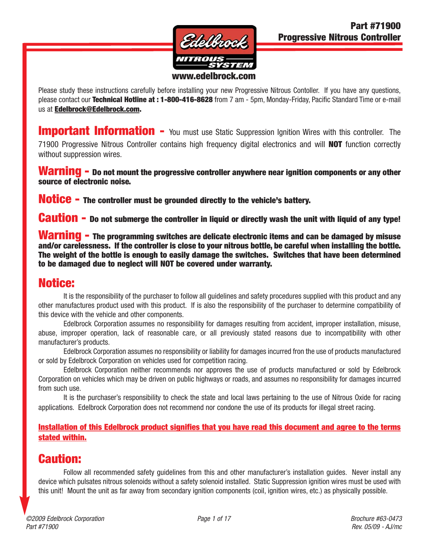

Please study these instructions carefully before installing your new Progressive Nitrous Contoller. If you have any questions, please contact our **Technical Hotline at : 1-800-416-8628** from 7 am - 5pm, Monday-Friday, Pacific Standard Time or e-mail us at **Edelbrock@Edelbrock.com.**

**Important Information -** You must use Static Suppression Ignition Wires with this controller. The 71900 Progressive Nitrous Controller contains high frequency digital electronics and will **NOT** function correctly without suppression wires.

**Warning - Do not mount the progressive controller anywhere near ignition components or any other source of electronic noise.**

**Notice - The controller must be grounded directly to the vehicle's battery.** 

**Caution - Do not submerge the controller in liquid or directly wash the unit with liquid of any type!**

**Warning - The programming switches are delicate electronic items and can be damaged by misuse and/or carelessness. If the controller is close to your nitrous bottle, be careful when installing the bottle. The weight of the bottle is enough to easily damage the switches. Switches that have been determined to be damaged due to neglect will NOT be covered under warranty.**

#### **Notice:**

It is the responsibility of the purchaser to follow all guidelines and safety procedures supplied with this product and any other manufactures product used with this product. If is also the responsibility of the purchaser to determine compatibility of this device with the vehicle and other components.

Edelbrock Corporation assumes no responsibility for damages resulting from accident, improper installation, misuse, abuse, improper operation, lack of reasonable care, or all previously stated reasons due to incompatibility with other manufacturer's products.

Edelbrock Corporation assumes no responsibility or liability for damages incurred fron the use of products manufactured or sold by Edelbrock Corporation on vehicles used for competition racing.

Edelbrock Corporation neither recommends nor approves the use of products manufactured or sold by Edelbrock Corporation on vehicles which may be driven on public highways or roads, and assumes no responsibility for damages incurred from such use.

It is the purchaser's responsibility to check the state and local laws pertaining to the use of Nitrous Oxide for racing applications. Edelbrock Corporation does not recommend nor condone the use of its products for illegal street racing.

**Installation of this Edelbrock product signifies that you have read this document and agree to the terms stated within.**

#### **Caution:**

Follow all recommended safety guidelines from this and other manufacturer's installation guides. Never install any device which pulsates nitrous solenoids without a safety solenoid installed. Static Suppression ignition wires must be used with this unit! Mount the unit as far away from secondary ignition components (coil, ignition wires, etc.) as physically possible.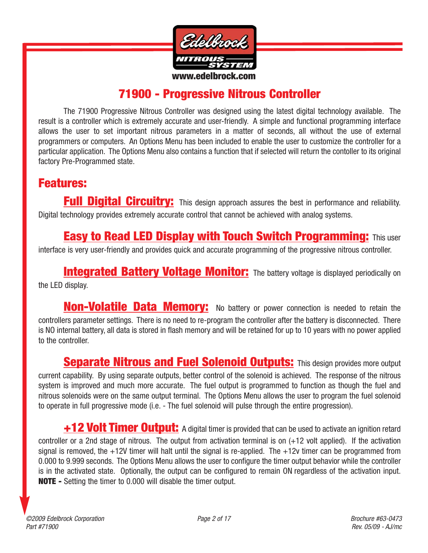

# **71900 - Progressive Nitrous Controller**

The 71900 Progressive Nitrous Controller was designed using the latest digital technology available. The result is a controller which is extremely accurate and user-friendly. A simple and functional programming interface allows the user to set important nitrous parameters in a matter of seconds, all without the use of external programmers or computers. An Options Menu has been included to enable the user to customize the controller for a particular application. The Options Menu also contains a function that if selected will return the contoller to its original factory Pre-Programmed state.

### **Features:**

**Full Digital Circuitry:** This design approach assures the best in performance and reliability. Digital technology provides extremely accurate control that cannot be achieved with analog systems.

**Easy to Read LED Display with Touch Switch Programming:** This user

interface is very user-friendly and provides quick and accurate programming of the progressive nitrous controller.

**Integrated Battery Voltage Monitor:** The battery voltage is displayed periodically on the LED display.

**Non-Volatile Data Memory:** No battery or power connection is needed to retain the controllers parameter settings. There is no need to re-program the controller after the battery is disconnected. There is NO internal battery, all data is stored in flash memory and will be retained for up to 10 years with no power applied to the controller.

**Separate Nitrous and Fuel Solenoid Outputs:** This design provides more output current capability. By using separate outputs, better control of the solenoid is achieved. The response of the nitrous system is improved and much more accurate. The fuel output is programmed to function as though the fuel and nitrous solenoids were on the same output terminal. The Options Menu allows the user to program the fuel solenoid to operate in full progressive mode (i.e. - The fuel solenoid will pulse through the entire progression).

**+12 Volt Timer Output:** A digital timer is provided that can be used to activate an ignition retard controller or a 2nd stage of nitrous. The output from activation terminal is on (+12 volt applied). If the activation signal is removed, the  $+12V$  timer will halt until the signal is re-applied. The  $+12v$  timer can be programmed from 0.000 to 9.999 seconds. The Options Menu allows the user to configure the timer output behavior while the controller is in the activated state. Optionally, the output can be configured to remain ON regardless of the activation input. **NOTE -** Setting the timer to 0.000 will disable the timer output.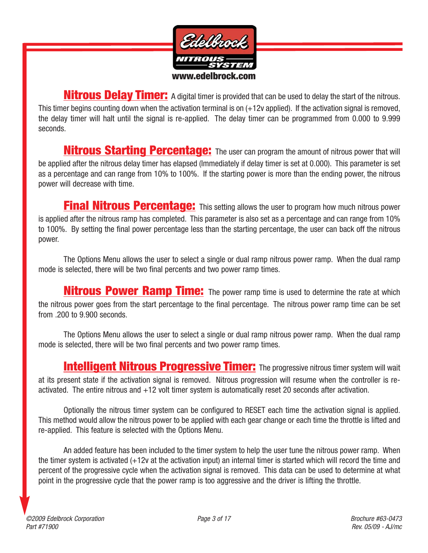

**Nitrous Delay Timer:** A digital timer is provided that can be used to delay the start of the nitrous. This timer begins counting down when the activation terminal is on (+12v applied). If the activation signal is removed, the delay timer will halt until the signal is re-applied. The delay timer can be programmed from 0.000 to 9.999 seconds.

**Nitrous Starting Percentage:** The user can program the amount of nitrous power that will be applied after the nitrous delay timer has elapsed (Immediately if delay timer is set at 0.000). This parameter is set as a percentage and can range from 10% to 100%. If the starting power is more than the ending power, the nitrous power will decrease with time.

**Final Nitrous Percentage:** This setting allows the user to program how much nitrous power is applied after the nitrous ramp has completed. This parameter is also set as a percentage and can range from 10% to 100%. By setting the final power percentage less than the starting percentage, the user can back off the nitrous power.

The Options Menu allows the user to select a single or dual ramp nitrous power ramp. When the dual ramp mode is selected, there will be two final percents and two power ramp times.

**Nitrous Power Ramp Time:** The power ramp time is used to determine the rate at which the nitrous power goes from the start percentage to the final percentage. The nitrous power ramp time can be set from .200 to 9.900 seconds.

The Options Menu allows the user to select a single or dual ramp nitrous power ramp. When the dual ramp mode is selected, there will be two final percents and two power ramp times.

**Intelligent Nitrous Progressive Timer:** The progressive nitrous timer system will wait at its present state if the activation signal is removed. Nitrous progression will resume when the controller is reactivated. The entire nitrous and +12 volt timer system is automatically reset 20 seconds after activation.

Optionally the nitrous timer system can be configured to RESET each time the activation signal is applied. This method would allow the nitrous power to be applied with each gear change or each time the throttle is lifted and re-applied. This feature is selected with the Options Menu.

An added feature has been included to the timer system to help the user tune the nitrous power ramp. When the timer system is activated (+12v at the activation input) an internal timer is started which will record the time and percent of the progressive cycle when the activation signal is removed. This data can be used to determine at what point in the progressive cycle that the power ramp is too aggressive and the driver is lifting the throttle.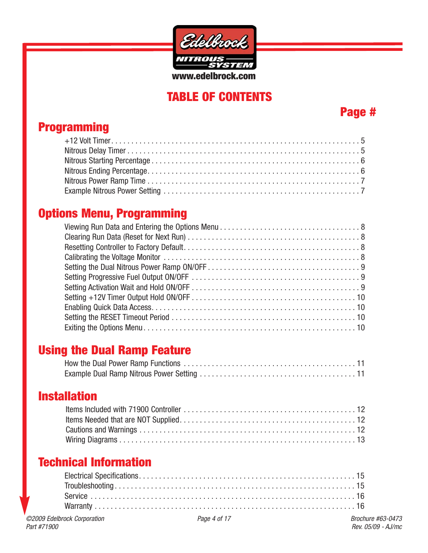

# **TABLE OF CONTENTS**

## **Page #**

# **Programming**

# **Options Menu, Programming**

## **Using the Dual Ramp Feature**

## **Installation**

# **Technical Information**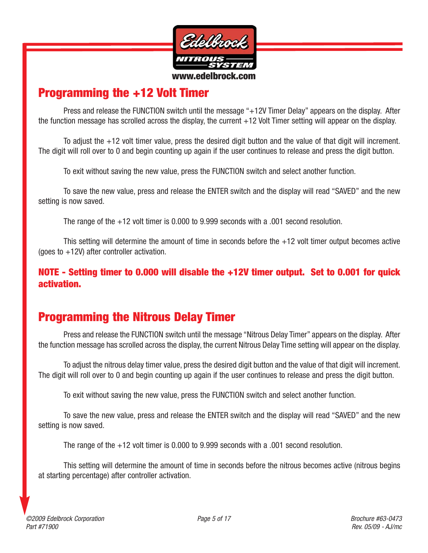

#### **Programming the +12 Volt Timer**

Press and release the FUNCTION switch until the message "+12V Timer Delay" appears on the display. After the function message has scrolled across the display, the current +12 Volt Timer setting will appear on the display.

To adjust the +12 volt timer value, press the desired digit button and the value of that digit will increment. The digit will roll over to 0 and begin counting up again if the user continues to release and press the digit button.

To exit without saving the new value, press the FUNCTION switch and select another function.

To save the new value, press and release the ENTER switch and the display will read "SAVED" and the new setting is now saved.

The range of the +12 volt timer is 0.000 to 9.999 seconds with a .001 second resolution.

This setting will determine the amount of time in seconds before the +12 volt timer output becomes active (goes to  $+12V$ ) after controller activation.

**NOTE - Setting timer to 0.000 will disable the +12V timer output. Set to 0.001 for quick activation.**

# **Programming the Nitrous Delay Timer**

Press and release the FUNCTION switch until the message "Nitrous Delay Timer" appears on the display. After the function message has scrolled across the display, the current Nitrous Delay Time setting will appear on the display.

To adjust the nitrous delay timer value, press the desired digit button and the value of that digit will increment. The digit will roll over to 0 and begin counting up again if the user continues to release and press the digit button.

To exit without saving the new value, press the FUNCTION switch and select another function.

To save the new value, press and release the ENTER switch and the display will read "SAVED" and the new setting is now saved.

The range of the +12 volt timer is 0.000 to 9.999 seconds with a .001 second resolution.

This setting will determine the amount of time in seconds before the nitrous becomes active (nitrous begins at starting percentage) after controller activation.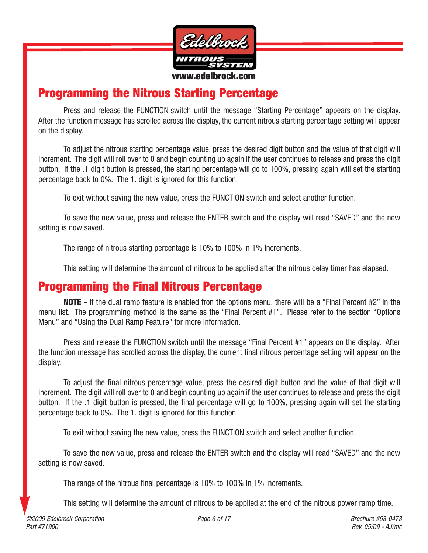

## **Programming the Nitrous Starting Percentage**

Press and release the FUNCTION switch until the message "Starting Percentage" appears on the display. After the function message has scrolled across the display, the current nitrous starting percentage setting will appear on the display.

To adjust the nitrous starting percentage value, press the desired digit button and the value of that digit will increment. The digit will roll over to 0 and begin counting up again if the user continues to release and press the digit button. If the .1 digit button is pressed, the starting percentage will go to 100%, pressing again will set the starting percentage back to 0%. The 1. digit is ignored for this function.

To exit without saving the new value, press the FUNCTION switch and select another function.

To save the new value, press and release the ENTER switch and the display will read "SAVED" and the new setting is now saved.

The range of nitrous starting percentage is 10% to 100% in 1% increments.

This setting will determine the amount of nitrous to be applied after the nitrous delay timer has elapsed.

#### **Programming the Final Nitrous Percentage**

**NOTE -** If the dual ramp feature is enabled fron the options menu, there will be a "Final Percent #2" in the menu list. The programming method is the same as the "Final Percent #1". Please refer to the section "Options Menu" and "Using the Dual Ramp Feature" for more information.

Press and release the FUNCTION switch until the message "Final Percent #1" appears on the display. After the function message has scrolled across the display, the current final nitrous percentage setting will appear on the display.

To adjust the final nitrous percentage value, press the desired digit button and the value of that digit will increment. The digit will roll over to 0 and begin counting up again if the user continues to release and press the digit button. If the .1 digit button is pressed, the final percentage will go to 100%, pressing again will set the starting percentage back to 0%. The 1. digit is ignored for this function.

To exit without saving the new value, press the FUNCTION switch and select another function.

To save the new value, press and release the ENTER switch and the display will read "SAVED" and the new setting is now saved.

The range of the nitrous final percentage is 10% to 100% in 1% increments.

This setting will determine the amount of nitrous to be applied at the end of the nitrous power ramp time.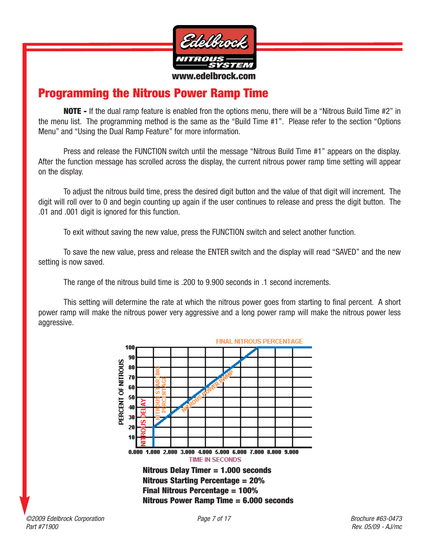

## **Programming the Nitrous Power Ramp Time**

**NOTE -** If the dual ramp feature is enabled fron the options menu, there will be a "Nitrous Build Time #2" in the menu list. The programming method is the same as the "Build Time #1". Please refer to the section "Options Menu" and "Using the Dual Ramp Feature" for more information.

Press and release the FUNCTION switch until the message "Nitrous Build Time #1" appears on the display. After the function message has scrolled across the display, the current nitrous power ramp time setting will appear on the display.

To adjust the nitrous build time, press the desired digit button and the value of that digit will increment. The digit will roll over to 0 and begin counting up again if the user continues to release and press the digit button. The .01 and .001 digit is ignored for this function.

To exit without saving the new value, press the FUNCTION switch and select another function.

To save the new value, press and release the ENTER switch and the display will read "SAVED" and the new setting is now saved.

The range of the nitrous build time is .200 to 9.900 seconds in .1 second increments.

This setting will determine the rate at which the nitrous power goes from starting to final percent. A short power ramp will make the nitrous power very aggressive and a long power ramp will make the nitrous power less aggressive.

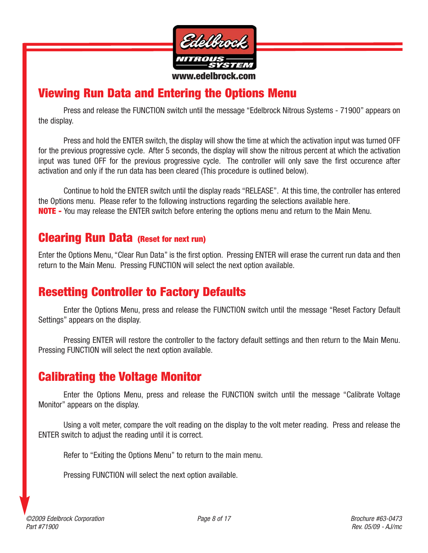

## **Viewing Run Data and Entering the Options Menu**

Press and release the FUNCTION switch until the message "Edelbrock Nitrous Systems - 71900" appears on the display.

Press and hold the ENTER switch, the display will show the time at which the activation input was turned OFF for the previous progressive cycle. After 5 seconds, the display will show the nitrous percent at which the activation input was tuned OFF for the previous progressive cycle. The controller will only save the first occurence after activation and only if the run data has been cleared (This procedure is outlined below).

Continue to hold the ENTER switch until the display reads "RELEASE". At this time, the controller has entered the Options menu. Please refer to the following instructions regarding the selections available here. **NOTE -** You may release the ENTER switch before entering the options menu and return to the Main Menu.

#### **Clearing Run Data (Reset for next run)**

Enter the Options Menu, "Clear Run Data" is the first option. Pressing ENTER will erase the current run data and then return to the Main Menu. Pressing FUNCTION will select the next option available.

## **Resetting Controller to Factory Defaults**

Enter the Options Menu, press and release the FUNCTION switch until the message "Reset Factory Default Settings" appears on the display.

Pressing ENTER will restore the controller to the factory default settings and then return to the Main Menu. Pressing FUNCTION will select the next option available.

### **Calibrating the Voltage Monitor**

Enter the Options Menu, press and release the FUNCTION switch until the message "Calibrate Voltage Monitor" appears on the display.

Using a volt meter, compare the volt reading on the display to the volt meter reading. Press and release the ENTER switch to adjust the reading until it is correct.

Refer to "Exiting the Options Menu" to return to the main menu.

Pressing FUNCTION will select the next option available.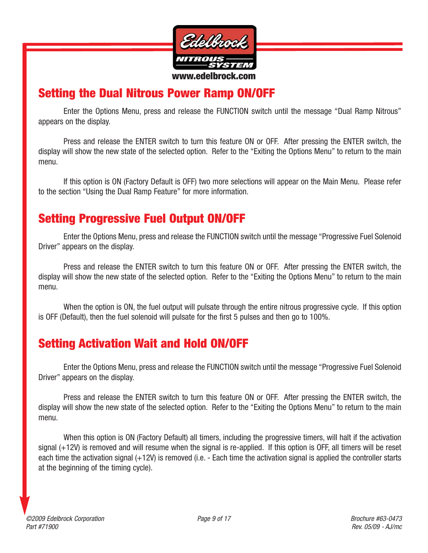

## **Setting the Dual Nitrous Power Ramp ON/OFF**

Enter the Options Menu, press and release the FUNCTION switch until the message "Dual Ramp Nitrous" appears on the display.

Press and release the ENTER switch to turn this feature ON or OFF. After pressing the ENTER switch, the display will show the new state of the selected option. Refer to the "Exiting the Options Menu" to return to the main menu.

If this option is ON (Factory Default is OFF) two more selections will appear on the Main Menu. Please refer to the section "Using the Dual Ramp Feature" for more information.

## **Setting Progressive Fuel Output ON/OFF**

Enter the Options Menu, press and release the FUNCTION switch until the message "Progressive Fuel Solenoid Driver" appears on the display.

Press and release the ENTER switch to turn this feature ON or OFF. After pressing the ENTER switch, the display will show the new state of the selected option. Refer to the "Exiting the Options Menu" to return to the main menu.

When the option is ON, the fuel output will pulsate through the entire nitrous progressive cycle. If this option is OFF (Default), then the fuel solenoid will pulsate for the first 5 pulses and then go to 100%.

## **Setting Activation Wait and Hold ON/OFF**

Enter the Options Menu, press and release the FUNCTION switch until the message "Progressive Fuel Solenoid Driver" appears on the display.

Press and release the ENTER switch to turn this feature ON or OFF. After pressing the ENTER switch, the display will show the new state of the selected option. Refer to the "Exiting the Options Menu" to return to the main menu.

When this option is ON (Factory Default) all timers, including the progressive timers, will halt if the activation signal (+12V) is removed and will resume when the signal is re-applied. If this option is OFF, all timers will be reset each time the activation signal (+12V) is removed (i.e. - Each time the activation signal is applied the controller starts at the beginning of the timing cycle).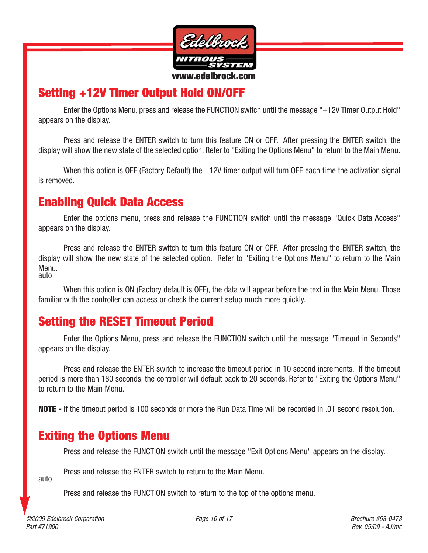

## **Setting +12V Timer Output Hold ON/OFF**

Enter the Options Menu, press and release the FUNCTION switch until the message "+12V Timer Output Hold" appears on the display.

Press and release the ENTER switch to turn this feature ON or OFF. After pressing the ENTER switch, the display will show the new state of the selected option. Refer to "Exiting the Options Menu" to return to the Main Menu.

When this option is OFF (Factory Default) the +12V timer output will turn OFF each time the activation signal is removed.

### **Enabling Quick Data Access**

Enter the options menu, press and release the FUNCTION switch until the message "Quick Data Access" appears on the display.

Press and release the ENTER switch to turn this feature ON or OFF. After pressing the ENTER switch, the display will show the new state of the selected option. Refer to "Exiting the Options Menu" to return to the Main Menu. auto

When this option is ON (Factory default is OFF), the data will appear before the text in the Main Menu. Those familiar with the controller can access or check the current setup much more quickly.

## **Setting the RESET Timeout Period**

Enter the Options Menu, press and release the FUNCTION switch until the message "Timeout in Seconds" appears on the display.

Press and release the ENTER switch to increase the timeout period in 10 second increments. If the timeout period is more than 180 seconds, the controller will default back to 20 seconds. Refer to "Exiting the Options Menu" to return to the Main Menu.

**NOTE -** If the timeout period is 100 seconds or more the Run Data Time will be recorded in .01 second resolution.

### **Exiting the Options Menu**

Press and release the FUNCTION switch until the message "Exit Options Menu" appears on the display.

Press and release the ENTER switch to return to the Main Menu.

auto

Press and release the FUNCTION switch to return to the top of the options menu.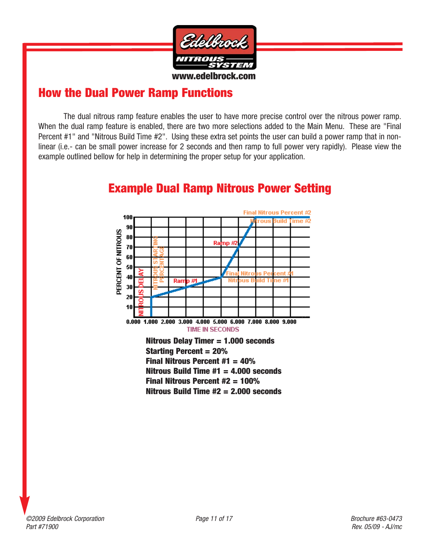

### **How the Dual Power Ramp Functions**

The dual nitrous ramp feature enables the user to have more precise control over the nitrous power ramp. When the dual ramp feature is enabled, there are two more selections added to the Main Menu. These are "Final Percent #1" and "Nitrous Build Time #2". Using these extra set points the user can build a power ramp that in nonlinear (i.e.- can be small power increase for 2 seconds and then ramp to full power very rapidly). Please view the example outlined bellow for help in determining the proper setup for your application.



# **Example Dual Ramp Nitrous Power Setting**

**Nitrous Delay Timer = 1.000 seconds Starting Percent = 20% Final Nitrous Percent #1 = 40% Nitrous Build Time #1 = 4.000 seconds Final Nitrous Percent #2 = 100% Nitrous Build Time #2 = 2.000 seconds**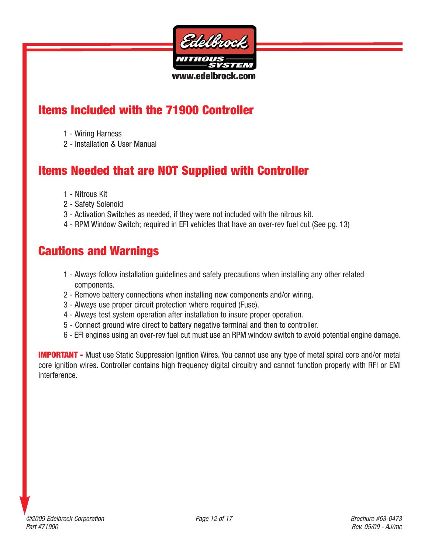

## **Items Included with the 71900 Controller**

- 1 Wiring Harness
- 2 Installation & User Manual

# **Items Needed that are NOT Supplied with Controller**

- 1 Nitrous Kit
- 2 Safety Solenoid
- 3 Activation Switches as needed, if they were not included with the nitrous kit.
- 4 RPM Window Switch; required in EFI vehicles that have an over-rev fuel cut (See pg. 13)

# **Cautions and Warnings**

- 1 Always follow installation guidelines and safety precautions when installing any other related components.
- 2 Remove battery connections when installing new components and/or wiring.
- 3 Always use proper circuit protection where required (Fuse).
- 4 Always test system operation after installation to insure proper operation.
- 5 Connect ground wire direct to battery negative terminal and then to controller.
- 6 EFI engines using an over-rev fuel cut must use an RPM window switch to avoid potential engine damage.

**IMPORTANT -** Must use Static Suppression Ignition Wires. You cannot use any type of metal spiral core and/or metal core ignition wires. Controller contains high frequency digital circuitry and cannot function properly with RFI or EMI interference.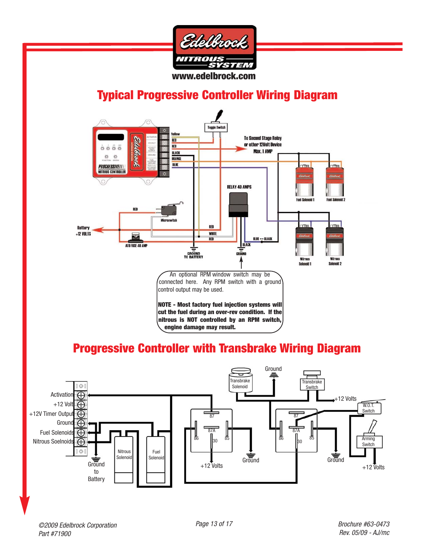

## **Typical Progressive Controller Wiring Diagram**



# **Progressive Controller with Transbrake Wiring Diagram**

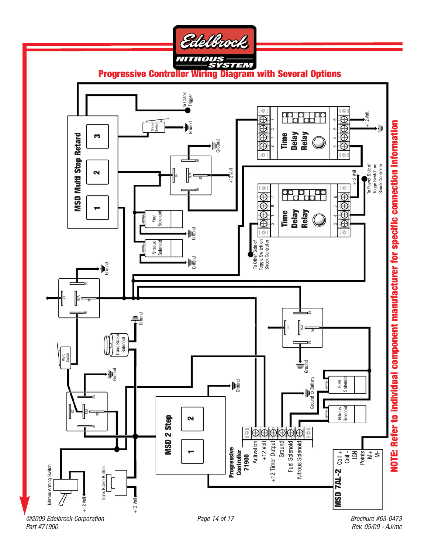

**Progressive Controller Wiring Diagram with Several Options**



Rev. 05/09 - AJ/mc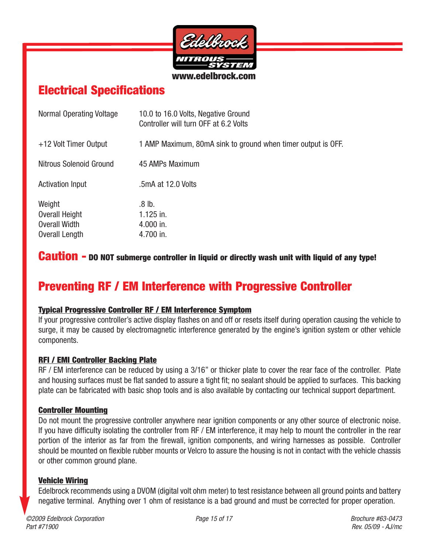

## **Electrical Specifications**

| Normal Operating Voltage                                    | 10.0 to 16.0 Volts, Negative Ground<br>Controller will turn OFF at 6.2 Volts |
|-------------------------------------------------------------|------------------------------------------------------------------------------|
| +12 Volt Timer Output                                       | 1 AMP Maximum, 80mA sink to ground when timer output is OFF.                 |
| Nitrous Solenoid Ground                                     | 45 AMPs Maximum                                                              |
| <b>Activation Input</b>                                     | .5mA at 12.0 Volts                                                           |
| Weight<br>Overall Height<br>Overall Width<br>Overall Length | .8 lb.<br>$1.125$ in.<br>$4.000$ in.<br>4.700 in.                            |

#### **Caution - DO NOT submerge controller in liquid or directly wash unit with liquid of any type!**

# **Preventing RF / EM Interference with Progressive Controller**

#### **Typical Progressive Controller RF / EM Interference Symptom**

If your progressive controller's active display flashes on and off or resets itself during operation causing the vehicle to surge, it may be caused by electromagnetic interference generated by the engine's ignition system or other vehicle components.

#### **RFI / EMI Controller Backing Plate**

RF / EM interference can be reduced by using a 3/16" or thicker plate to cover the rear face of the controller. Plate and housing surfaces must be flat sanded to assure a tight fit; no sealant should be applied to surfaces. This backing plate can be fabricated with basic shop tools and is also available by contacting our technical support department.

#### **Controller Mounting**

Do not mount the progressive controller anywhere near ignition components or any other source of electronic noise. If you have difficulty isolating the controller from RF / EM interference, it may help to mount the controller in the rear portion of the interior as far from the firewall, ignition components, and wiring harnesses as possible. Controller should be mounted on flexible rubber mounts or Velcro to assure the housing is not in contact with the vehicle chassis or other common ground plane.

#### **Vehicle Wiring**

Edelbrock recommends using a DVOM (digital volt ohm meter) to test resistance between all ground points and battery negative terminal. Anything over 1 ohm of resistance is a bad ground and must be corrected for proper operation.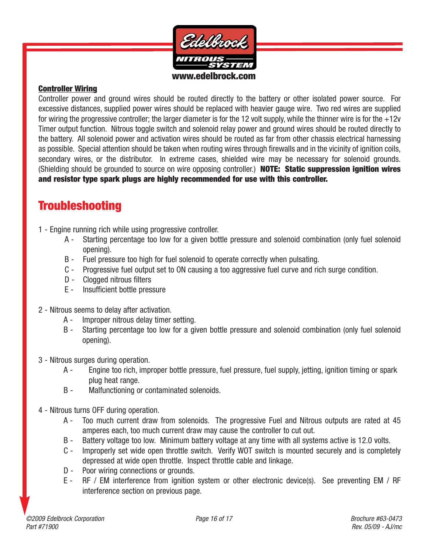

#### **Controller Wiring**

Controller power and ground wires should be routed directly to the battery or other isolated power source. For excessive distances, supplied power wires should be replaced with heavier gauge wire. Two red wires are supplied for wiring the progressive controller; the larger diameter is for the 12 volt supply, while the thinner wire is for the  $+12v$ Timer output function. Nitrous toggle switch and solenoid relay power and ground wires should be routed directly to the battery. All solenoid power and activation wires should be routed as far from other chassis electrical harnessing as possible. Special attention should be taken when routing wires through firewalls and in the vicinity of ignition coils, secondary wires, or the distributor. In extreme cases, shielded wire may be necessary for solenoid grounds. (Shielding should be grounded to source on wire opposing controller.) **NOTE: Static suppression ignition wires and resistor type spark plugs are highly recommended for use with this controller.**

### **Troubleshooting**

- 1 Engine running rich while using progressive controller.
	- A Starting percentage too low for a given bottle pressure and solenoid combination (only fuel solenoid opening).
	- B Fuel pressure too high for fuel solenoid to operate correctly when pulsating.
	- C Progressive fuel output set to ON causing a too aggressive fuel curve and rich surge condition.
	- D Clogged nitrous filters
	- E Insufficient bottle pressure
- 2 Nitrous seems to delay after activation.
	- A Improper nitrous delay timer setting.
	- B Starting percentage too low for a given bottle pressure and solenoid combination (only fuel solenoid opening).
- 3 Nitrous surges during operation.
	- A Engine too rich, improper bottle pressure, fuel pressure, fuel supply, jetting, ignition timing or spark plug heat range.
	- B Malfunctioning or contaminated solenoids.
- 4 Nitrous turns OFF during operation.
	- A Too much current draw from solenoids. The progressive Fuel and Nitrous outputs are rated at 45 amperes each, too much current draw may cause the controller to cut out.
	- B Battery voltage too low. Minimum battery voltage at any time with all systems active is 12.0 volts.
	- C Improperly set wide open throttle switch. Verify WOT switch is mounted securely and is completely depressed at wide open throttle. Inspect throttle cable and linkage.
	- D Poor wiring connections or grounds.
	- E RF / EM interference from ignition system or other electronic device(s). See preventing EM / RF interference section on previous page.